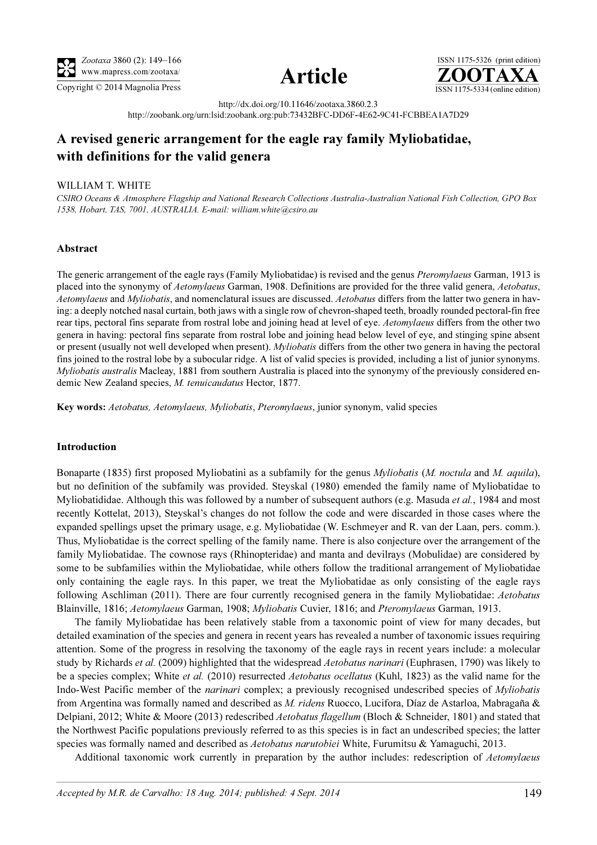



ISSN 1175-5326 (print edition)<br> $\overline{{\bf ZOOTAXA}}$  $\overline{Copyright}$   $\overline{O}$  2014 Magnolia Press  $\overline{SSN}$  1175-5334 (online edition)

> http://dx.doi.org/10.11646/zootaxa.3860.2.3 http://zoobank.org/urn:lsid:zoobank.org:pub:73432BFC-DD6F-4E62-9C41-FCBBEA1A7D29

# A revised generic arrangement for the eagle ray family Myliobatidae, with definitions for the valid genera

#### WILLIAM T. WHITE

CSIRO Oceans & Atmosphere Flagship and National Research Collections Australia-Australian National Fish Collection, GPO Box 1538, Hobart, TAS, 7001, AUSTRALIA. E-mail: william.white@csiro.au

## Abstract

The generic arrangement of the eagle rays (Family Myliobatidae) is revised and the genus *Pteromylaeus* Garman, 1913 is placed into the synonymy of Aetomylaeus Garman, 1908. Definitions are provided for the three valid genera, Aetobatus, Aetomylaeus and Myliobatis, and nomenclatural issues are discussed. Aetobatus differs from the latter two genera in haying: a deeply notched nasal curtain, both jaws with a single row of chevron-shaped teeth, broadly rounded pectoral-fin free rear tips, pectoral fins separate from rostral lobe and joining head at level of eye. Aetomylaeus differs from the other two genera in having: pectoral fins separate from rostral lobe and joining head below level of eye, and stinging spine absent or present (usually not well developed when present). Myliobatis differs from the other two genera in having the pectoral fins joined to the rostral lobe by a subocular ridge. A list of valid species is provided, including a list of junior synonyms. Myliobatis australis Macleay, 1881 from southern Australia is placed into the synonymy of the previously considered endemic New Zealand species, M. tenuicaudatus Hector, 1877.

Key words: Aetobatus, Aetomylaeus, Myliobatis, Pteromylaeus, junior synonym, valid species

## Introduction

Bonaparte (1835) first proposed Myliobatini as a subfamily for the genus Myliobatis (M. noctula and M. aquila), but no definition of the subfamily was provided. Steyskal (1980) emended the family name of Myliobatidae to Myliobatididae. Although this was followed by a number of subsequent authors (e.g. Masuda *et al.*, 1984 and most recently Kottelat, 2013), Steyskal's changes do not follow the code and were discarded in those cases where the expanded spellings upset the primary usage, e.g. Myliobatidae (W. Eschmeyer and R. van der Laan, pers. comm.). Thus, Myliobatidae is the correct spelling of the family name. There is also conjecture over the arrangement of the family Myliobatidae. The cownose rays (Rhinopteridae) and manta and devilrays (Mobulidae) are considered by some to be subfamilies within the Myliobatidae, while others follow the traditional arrangement of Myliobatidae only containing the eagle rays. In this paper, we treat the Myliobatidae as only consisting of the eagle rays following Aschliman (2011). There are four currently recognised genera in the family Myliobatidae: Aetobatus Blainville, 1816; Aetomylaeus Garman, 1908; Myliobatis Cuvier, 1816; and Pteromylaeus Garman, 1913.

The family Myliobatidae has been relatively stable from a taxonomic point of view for many decades, but detailed examination of the species and genera in recent years has revealed a number of taxonomic issues requiring attention. Some of the progress in resolving the taxonomy of the eagle rays in recent years include: a molecular study by Richards et al. (2009) highlighted that the widespread Aetobatus narinari (Euphrasen, 1790) was likely to be a species complex; White *et al.* (2010) resurrected *Aetobatus ocellatus* (Kuhl, 1823) as the valid name for the Indo-West Pacific member of the narinari complex; a previously recognised undescribed species of Myliobatis from Argentina was formally named and described as M. ridens Ruocco, Lucifora, Díaz de Astarloa, Mabragaña & Delpiani, 2012; White & Moore (2013) redescribed Aetobatus flagellum (Bloch & Schneider, 1801) and stated that the Northwest Pacific populations previously referred to as this species is in fact an undescribed species; the latter species was formally named and described as *Aetobatus narutobiei* White, Furumitsu & Yamaguchi, 2013.

Additional taxonomic work currently in preparation by the author includes: redescription of Aetomylaeus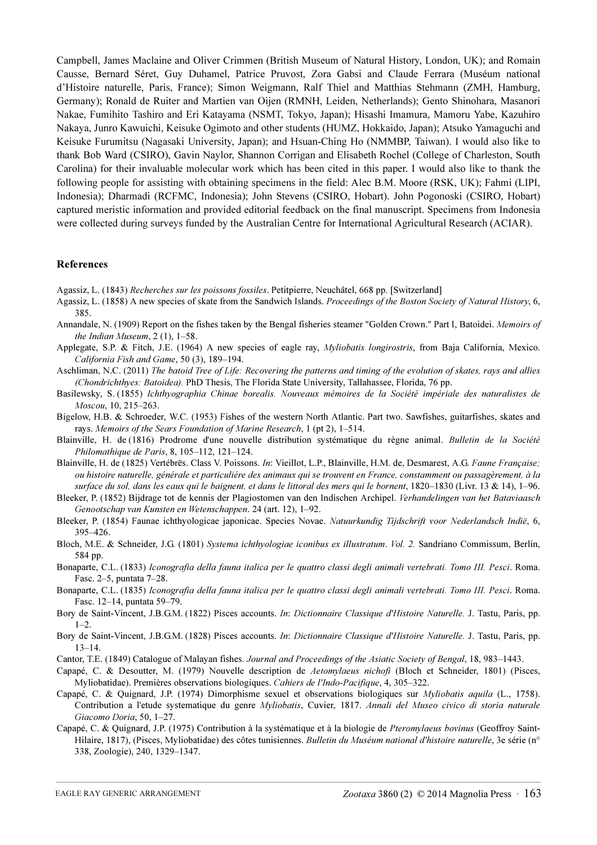[Campbell, James Maclaine and Oliver Crimmen \(British Museum of Natural History, London, UK\); and Romain](http://dx.doi.org/10.5479/si.00963801.9-563.220) Causse, Bernard Séret, Guy Duhamel, Patrice Pruvost, Zora Gabsi and Claude Ferrara (Muséum national d'Histoire naturelle, Paris, France); Simon Weigmann, Ralf Thiel and Matthias Stehmann (ZMH, Hamburg, Germany); Ronald de Ruiter and Martien van Oijen (RMNH, Leiden, Netherlands); Gento Shinohara, Masanori Nakae, Fumihito Tashiro and Eri Katayama (NSMT, Tokyo, Japan); Hisashi Imamura, Mamoru Yabe, Kazuhiro Nakaya, Junro Kawuichi, Keisuke Ogimoto and other students (HUMZ, Hokkaido, Japan); Atsuko Yamaguchi and Keisuke Furumitsu (Nagasaki University, Japan); and Hsuan-Ching Ho (NMMBP, Taiwan). I would also like to thank Bob Ward (CSIRO), Gavin Naylor, Shannon Corrigan and Elisabeth Rochel (College of Charleston, South Carolina) for their invaluable molecular work which has been cited in this paper. I would also like to thank the following people for assisting with obtaining specimens in the field: Alec B.M. Moore (RSK, UK); Fahmi (LIPI, Indonesia); Dharmadi (RCFMC, Indonesia); John Stevens (CSIRO, Hobart). John Pogonoski (CSIRO, Hobart) captured meristic information and provided editorial feedback on the final manuscript. Specimens from Indonesia were collected during surveys funded by the Australian Centre for International Agricultural Research (ACIAR).

#### References

Agassiz, L. (1843) Recherches sur les poissons fossiles. Petitpierre, Neuchâtel, 668 pp. [Switzerland]

- Agassiz, L. (1858) A new species of skate from the Sandwich Islands. Proceedings of the Boston Society of Natural History, 6, 385.
- Annandale, N. (1909) Report on the fishes taken by the Bengal fisheries steamer "Golden Crown." Part I, Batoidei. Memoirs of the Indian Museum,  $2(1)$ ,  $1-58$ .
- Applegate, S.P. & Fitch, J.E. (1964) A new species of eagle ray, *Myliobatis longirostris*, from Baja California, Mexico. California Fish and Game, 50 (3), 189–194.
- Aschliman, N.C. (2011) [The batoid Tree of Life: Recovering the patterns and timing of the evolution of skates, rays and allies](http://dx.doi.org/10.1371/journal.pone.0083785) [\(Chondrichthyes: Batoidea\).](http://dx.doi.org/10.1371/journal.pone.0083785) PhD Thesis, The Florida State University, Tallahassee, Florida, 76 pp.
- Basilewsky, S. (1855) Ichthyographia Chinae borealis. Nouveaux mémoires de la Société impériale des naturalistes de Moscou, 10, 215–263.
- Bigelow, H.B. & Schroeder, W.C. (1953) Fishes of the western North Atlantic. Part two. Sawfishes, guitarfishes, skates and rays. Memoirs of the Sears Foundation of Marine Research, 1 (pt 2), 1–514.
- Blainville, H. de (1816) Prodrome d'une nouvelle distribution systématique du règne animal. [Bulletin de la Société](http://dx.doi.org/10.11646/zootaxa.3752.1.12) [Philomathique de Paris](http://dx.doi.org/10.11646/zootaxa.3752.1.12), 8, 105–112, 121–124.
- Blainville, H. de (1825) Vertébrës. Class V. Poissons. In: Vieillot, L.P., Blainville, H.M. de, Desmarest, A.G. Faune Française; ou histoire naturelle, générale et particuliére des animaux qui se trouvent en France, constamment ou passagèrement, à la surface du sol, dans les eaux qui le baignent, et dans le littoral des mers qui le bornent, 1820–1830 (Livr. 13 & 14), 1–96.
- Bleeker, P. (1852) Bijdrage tot de kennis der Plagiostomen van den Indischen Archipel. Verhandelingen van het Bataviaasch Genootschap van Kunsten en Wetenschappen. 24 (art. 12), 1–92.
- Bleeker, P. (1854) Faunae ichthyologicae japonicae. Species Novae. Natuurkundig Tijdschrift voor Nederlandsch Indië, 6, 395–426.
- Bloch, M.E. & Schneider, J.G. (1801) Systema ichthyologiae iconibus ex illustratum. Vol. 2. Sandriano Commissum, Berlin, 584 pp.
- Bonaparte, C.L. (1833) Iconografia della fauna italica per le quattro classi degli animali vertebrati. Tomo III. Pesci. Roma. Fasc. 2–5, puntata 7–28.
- Bonaparte, C.L. (1835) Iconografia della fauna italica per le quattro classi degli animali vertebrati. Tomo III. Pesci. Roma. Fasc. 12–14, puntata 59–79.
- Bory de Saint-Vincent, J.B.G.M. (1822) Pisces accounts. In: Dictionnaire Classique d'Histoire Naturelle. J. Tastu, Paris, pp.  $1-2.$
- Bory de Saint-Vincent, J.B.G.M. (1828) Pisces accounts. In: Dictionnaire Classique d'Histoire Naturelle. J. Tastu, Paris, pp. 13–14.
- Cantor, T.E. (1849) Catalogue of Malayan fishes. Journal and Proceedings of the Asiatic Society of Bengal, 18, 983–1443.
- Capapé, C. & Desoutter, M. (1979) Nouvelle description de Aetomylaeus nichofi (Bloch et Schneider, 1801) (Pisces, Myliobatidae). Premières observations biologiques. Cahiers de l'Indo-Pacifique, 4, 305–322.
- Capapé, C. & Quignard, J.P. (1974) Dimorphisme sexuel et observations biologiques sur Myliobatis aquila (L., 1758). Contribution a l'etude systematique du genre Myliobatis, Cuvier, 1817. Annali del Museo civico di storia naturale Giacomo Doria, 50, 1–27.
- Capapé, C. & Quignard, J.P. (1975) Contribution à la systématique et à la biologie de Pteromylaeus bovinus (Geoffroy Saint-Hilaire, 1817), (Pisces, Myliobatidae) des côtes tunisiennes. Bulletin du Muséum national d'histoire naturelle, 3e série (n° 338, Zoologie), 240, 1329–1347.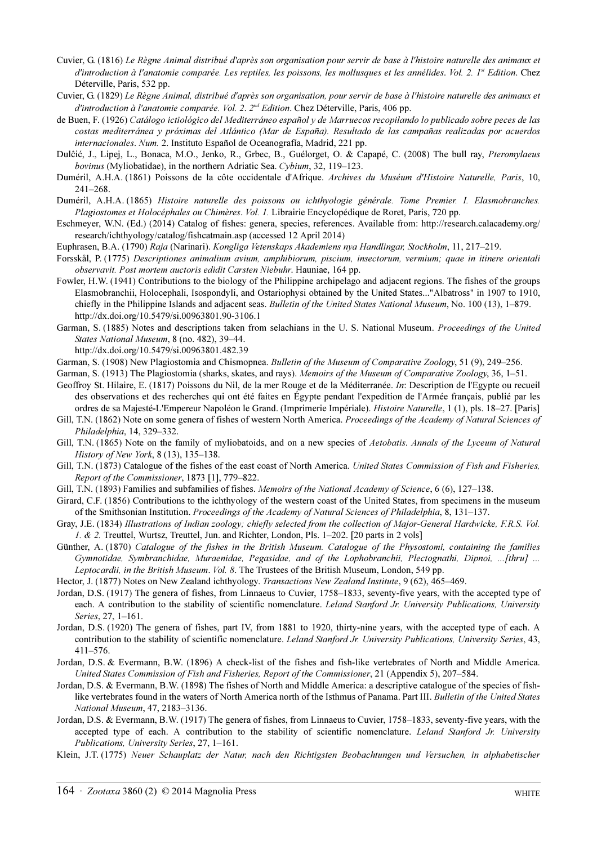- Cuvier, G. (1816) Le Règne Animal distribué d'après son organisation pour servir de base à l'histoire naturelle des animaux et d'introduction à l'anatomie comparée. Les reptiles, les poissons, les mollusques et les annélides. Vol. 2. I<sup>st</sup> Edition. Chez Déterville, Paris, 532 pp.
- Cuvier, G. (1829) Le Règne Animal, distribué d'après son organisation, pour servir de base à l'histoire naturelle des animaux et d'introduction à l'anatomie comparée. Vol. 2. 2<sup>nd</sup> Edition. Chez Déterville, Paris, 406 pp.
- de Buen, F. (1926) Catálogo ictiológico del Mediterráneo español y de Marruecos recopilando lo publicado sobre peces de las costas mediterránea y próximas del Atlántico (Mar de España). Resultado de las campañas realizadas por acuerdos internacionales. Num. 2. Instituto Español de Oceanografía, Madrid, 221 pp.
- Dulĉić, J., Lipej, L., Bonaca, M.O., Jenko, R., Grbec, B., Guélorget, O. & Capapé, C. (2008) The bull ray, Pteromylaeus bovinus (Myliobatidae), in the northern Adriatic Sea. Cybium, 32, 119–123.
- Duméril, A.H.A. (1861) Poissons de la côte occidentale d'Afrique. Archives du Muséum d'Histoire Naturelle, Paris, 10, 241–268.
- Duméril, A.H.A. (1865) Histoire naturelle des poissons ou ichthyologie générale. Tome Premier. I. Elasmobranches. Plagiostomes et Holocéphales ou Chimères. Vol. 1. Librairie Encyclopédique de Roret, Paris, 720 pp.
- Eschmeyer, W.N. (Ed.) (2014) Catalog of fishes: genera, species, references. Available from: http://research.calacademy.org/ research/ichthyology/catalog/fishcatmain.asp (accessed 12 April 2014)

Euphrasen, B.A. (1790) Raja (Narinari). Kongliga Vetenskaps Akademiens nya Handlingar, Stockholm, 11, 217–219.

- Forsskål, P. (1775) Descriptiones animalium avium, amphibiorum, piscium, insectorum, vermium; quae in itinere orientali observavit. Post mortem auctoris edidit Carsten Niebuhr. Hauniae, 164 pp.
- Fowler, H.W. (1941) Contributions to the biology of the Philippine archipelago and adjacent regions. The fishes of the groups Elasmobranchii, Holocephali, Isospondyli, and Ostariophysi obtained by the United States..."Albatross" in 1907 to 1910, chiefly in the Philippine Islands and adjacent seas. Bulletin of the United States National Museum, No. 100 (13), 1–879. http://dx.doi.org/10.5479/si.00963801.90-3106.1
- Garman, S. (1885) Notes and descriptions taken from selachians in the U. S. National Museum. Proceedings of the United States National Museum, 8 (no. 482), 39–44.

http://dx.doi.org/10.5479/si.00963801.482.39

Garman, S. (1908) New Plagiostomia and Chismopnea. Bulletin of the Museum of Comparative Zoology, 51 (9), 249–256.

Garman, S. (1913) The Plagiostomia (sharks, skates, and rays). Memoirs of the Museum of Comparative Zoology, 36, 1–51.

- Geoffroy St. Hilaire, E. (1817) Poissons du Nil, de la mer Rouge et de la Méditerranée. In: Description de l'Egypte ou recueil des observations et des recherches qui ont été faites en Égypte pendant l'expedition de l'Armée français, publié par les ordres de sa Majesté-L'Empereur Napoléon le Grand. (Imprimerie Impériale). Histoire Naturelle, 1 (1), pls. 18–27. [Paris]
- Gill, T.N. (1862) Note on some genera of fishes of western North America. Proceedings of the Academy of Natural Sciences of Philadelphia, 14, 329–332.
- Gill, T.N. (1865) Note on the family of myliobatoids, and on a new species of Aetobatis. Annals of the Lyceum of Natural History of New York, 8 (13), 135–138.
- Gill, T.N. (1873) Catalogue of the fishes of the east coast of North America. United States Commission of Fish and Fisheries, Report of the Commissioner, 1873 [1], 779–822.
- Gill, T.N. (1893) Families and subfamilies of fishes. Memoirs of the National Academy of Science, 6 (6), 127–138.
- Girard, C.F. (1856) Contributions to the ichthyology of the western coast of the United States, from specimens in the museum of the Smithsonian Institution. Proceedings of the Academy of Natural Sciences of Philadelphia, 8, 131–137.
- Gray, J.E. (1834) Illustrations of Indian zoology; chiefly selected from the collection of Major-General Hardwicke, F.R.S. Vol. 1. & 2. Treuttel, Wurtsz, Treuttel, Jun. and Richter, London, Pls. 1–202. [20 parts in 2 vols]
- Günther, A. (1870) Catalogue of the fishes in the British Museum. Catalogue of the Physostomi, containing the families Gymnotidae, Symbranchidae, Muraenidae, Pegasidae, and of the Lophobranchii, Plectognathi, Dipnoi, ...[thru] ... Leptocardii, in the British Museum. Vol. 8. The Trustees of the British Museum, London, 549 pp.
- Hector, J. (1877) Notes on New Zealand ichthyology. Transactions New Zealand Institute, 9 (62), 465–469.
- Jordan, D.S. (1917) The genera of fishes, from Linnaeus to Cuvier, 1758–1833, seventy-five years, with the accepted type of each. A contribution to the stability of scientific nomenclature. Leland Stanford Jr. University Publications, University Series, 27, 1–161.
- Jordan, D.S. (1920) The genera of fishes, part IV, from 1881 to 1920, thirty-nine years, with the accepted type of each. A contribution to the stability of scientific nomenclature. Leland Stanford Jr. University Publications, University Series, 43, 411–576.
- Jordan, D.S. & Evermann, B.W. (1896) A check-list of the fishes and fish-like vertebrates of North and Middle America. United States Commission of Fish and Fisheries, Report of the Commissioner, 21 (Appendix 5), 207–584.
- Jordan, D.S. & Evermann, B.W. (1898) The fishes of North and Middle America: a descriptive catalogue of the species of fishlike vertebrates found in the waters of North America north of the Isthmus of Panama. Part III. Bulletin of the United States National Museum, 47, 2183–3136.
- Jordan, D.S. & Evermann, B.W. (1917) The genera of fishes, from Linnaeus to Cuvier, 1758–1833, seventy-five years, with the accepted type of each. A contribution to the stability of scientific nomenclature. Leland Stanford Jr. University Publications, University Series, 27, 1–161.
- Klein, J.T. (1775) Neuer Schauplatz der Natur, nach den Richtigsten Beobachtungen und Versuchen, in alphabetischer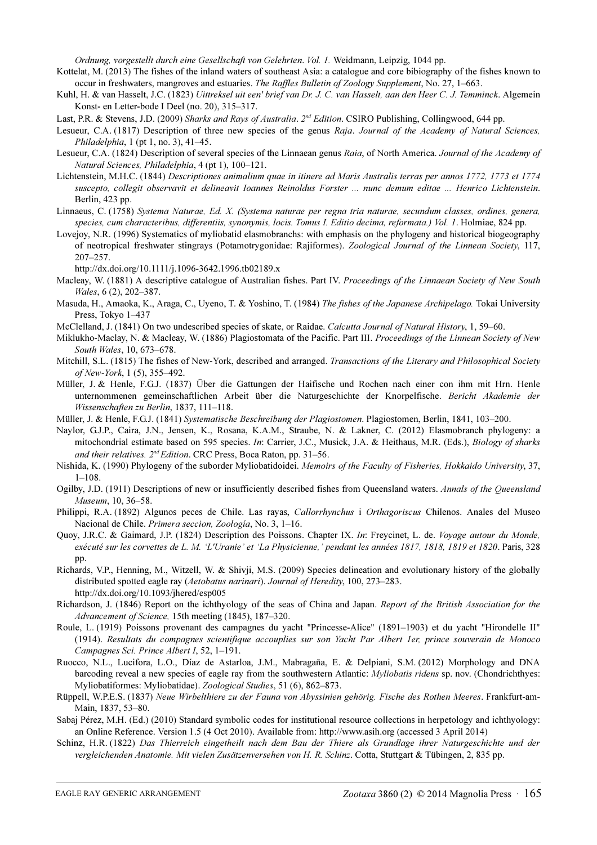Ordnung, vorgestellt durch eine Gesellschaft von Gelehrten. Vol. 1. Weidmann, Leipzig, 1044 pp.

- Kottelat, M. (2013) The fishes of the inland waters of southeast Asia: a catalogue and core bibiography of the fishes known to occur in freshwaters, mangroves and estuaries. The Raffles Bulletin of Zoology Supplement, No. 27, 1–663.
- Kuhl, H. & van Hasselt, J.C. (1823) Uittreksel uit een' brief van Dr. J. C. van Hasselt, aan den Heer C. J. Temminck. Algemein Konst- en Letter-bode I Deel (no. 20), 315–317.
- Last, P.R. & Stevens, J.D. (2009) Sharks and Rays of Australia. 2<sup>nd</sup> Edition. CSIRO Publishing, Collingwood, 644 pp.
- Lesueur, C.A. (1817) Description of three new species of the genus Raja. Journal of the Academy of Natural Sciences, Philadelphia, 1 (pt 1, no. 3), 41–45.
- Lesueur, C.A. (1824) Description of several species of the Linnaean genus Raia, of North America. Journal of the Academy of Natural Sciences, Philadelphia, 4 (pt 1), 100–121.
- Lichtenstein, M.H.C. (1844) Descriptiones animalium quae in itinere ad Maris Australis terras per annos 1772, 1773 et 1774 suscepto, collegit observavit et delineavit Ioannes Reinoldus Forster ... nunc demum editae ... Henrico Lichtenstein. Berlin, 423 pp.
- Linnaeus, C. (1758) Systema Naturae, Ed. X. (Systema naturae per regna tria naturae, secundum classes, ordines, genera, species, cum characteribus, differentiis, synonymis, locis. Tomus I. Editio decima, reformata.) Vol. 1. Holmiae, 824 pp.
- Lovejoy, N.R. (1996) Systematics of myliobatid elasmobranchs: with emphasis on the phylogeny and historical biogeography of neotropical freshwater stingrays (Potamotrygonidae: Rajiformes). Zoological Journal of the Linnean Society, 117, 207–257.

http://dx.doi.org/10.1111/j.1096-3642.1996.tb02189.x

- Macleay, W. (1881) A descriptive catalogue of Australian fishes. Part IV. Proceedings of the Linnaean Society of New South Wales, 6 (2), 202–387.
- Masuda, H., Amaoka, K., Araga, C., Uyeno, T. & Yoshino, T. (1984) The fishes of the Japanese Archipelago. Tokai University Press, Tokyo 1–437
- McClelland, J. (1841) On two undescribed species of skate, or Raidae. Calcutta Journal of Natural History, 1, 59–60.
- Miklukho-Maclay, N. & Macleay, W. (1886) Plagiostomata of the Pacific. Part III. Proceedings of the Linnean Society of New South Wales, 10, 673–678.
- Mitchill, S.L. (1815) The fishes of New-York, described and arranged. Transactions of the Literary and Philosophical Society of New-York, 1 (5), 355–492.
- Müller, J. & Henle, F.G.J. (1837) Über die Gattungen der Haifische und Rochen nach einer con ihm mit Hrn. Henle unternommenen gemeinschaftlichen Arbeit über die Naturgeschichte der Knorpelfische. Bericht Akademie der Wissenschaften zu Berlin, 1837, 111–118.
- Müller, J. & Henle, F.G.J. (1841) Systematische Beschreibung der Plagiostomen. Plagiostomen, Berlin, 1841, 103–200.
- Naylor, G.J.P., Caira, J.N., Jensen, K., Rosana, K.A.M., Straube, N. & Lakner, C. (2012) Elasmobranch phylogeny: a mitochondrial estimate based on 595 species. In: Carrier, J.C., Musick, J.A. & Heithaus, M.R. (Eds.), Biology of sharks and their relatives.  $2^{nd}$  Edition. CRC Press, Boca Raton, pp. 31–56.
- Nishida, K. (1990) Phylogeny of the suborder Myliobatidoidei. Memoirs of the Faculty of Fisheries, Hokkaido University, 37, 1–108.
- Ogilby, J.D. (1911) Descriptions of new or insufficiently described fishes from Queensland waters. Annals of the Queensland Museum, 10, 36–58.
- Philippi, R.A. (1892) Algunos peces de Chile. Las rayas, Callorrhynchus i Orthagoriscus Chilenos. Anales del Museo Nacional de Chile. Primera seccion, Zoología, No. 3, 1–16.
- Quoy, J.R.C. & Gaimard, J.P. (1824) Description des Poissons. Chapter IX. In: Freycinet, L. de. Voyage autour du Monde, exécuté sur les corvettes de L. M. 'L'Uranie' et 'La Physicienne,' pendant les années 1817, 1818, 1819 et 1820. Paris, 328 pp.
- Richards, V.P., Henning, M., Witzell, W. & Shivji, M.S. (2009) Species delineation and evolutionary history of the globally distributed spotted eagle ray (Aetobatus narinari). Journal of Heredity, 100, 273–283. http://dx.doi.org/10.1093/jhered/esp005
- Richardson, J. (1846) Report on the ichthyology of the seas of China and Japan. Report of the British Association for the Advancement of Science, 15th meeting (1845), 187–320.
- Roule, L. (1919) Poissons provenant des campagnes du yacht "Princesse-Alice" (1891–1903) et du yacht "Hirondelle II" (1914). Resultats du compagnes scientifique accouplies sur son Yacht Par Albert 1er, prince souverain de Monoco Campagnes Sci. Prince Albert I, 52, 1–191.
- Ruocco, N.L., Lucifora, L.O., Díaz de Astarloa, J.M., Mabragaña, E. & Delpiani, S.M. (2012) Morphology and DNA barcoding reveal a new species of eagle ray from the southwestern Atlantic: Myliobatis ridens sp. nov. (Chondrichthyes: Myliobatiformes: Myliobatidae). Zoological Studies, 51 (6), 862–873.
- Rüppell, W.P.E.S. (1837) Neue Wirbelthiere zu der Fauna von Abyssinien gehörig. Fische des Rothen Meeres. Frankfurt-am-Main, 1837, 53–80.
- Sabaj Pérez, M.H. (Ed.) (2010) Standard symbolic codes for institutional resource collections in herpetology and ichthyology: an Online Reference. Version 1.5 (4 Oct 2010). Available from: http://www.asih.org (accessed 3 April 2014)
- Schinz, H.R. (1822) Das Thierreich eingetheilt nach dem Bau der Thiere als Grundlage ihrer Naturgeschichte und der vergleichenden Anatomie. Mit vielen Zusätzenversehen von H. R. Schinz. Cotta, Stuttgart & Tübingen, 2, 835 pp.